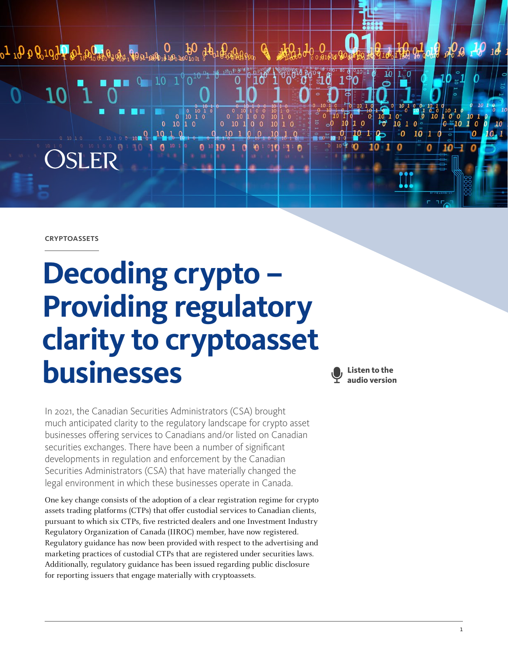

**CRYPTOASSETS** 

# **Decoding crypto – Providing regulatory clarity to cryptoasset businesses**

**Listen to the audio version**

In 2021, the Canadian Securities Administrators (CSA) brought much anticipated clarity to the regulatory landscape for crypto asset businesses offering services to Canadians and/or listed on Canadian securities exchanges. There have been a number of significant developments in regulation and enforcement by the Canadian Securities Administrators (CSA) that have materially changed the legal environment in which these businesses operate in Canada.

One key change consists of the adoption of a clear registration regime for crypto assets trading platforms (CTPs) that offer custodial services to Canadian clients, pursuant to which six CTPs, five restricted dealers and one Investment Industry Regulatory Organization of Canada (IIROC) member, have now registered. Regulatory guidance has now been provided with respect to the advertising and marketing practices of custodial CTPs that are registered under securities laws. Additionally, regulatory guidance has been issued regarding public disclosure for reporting issuers that engage materially with cryptoassets.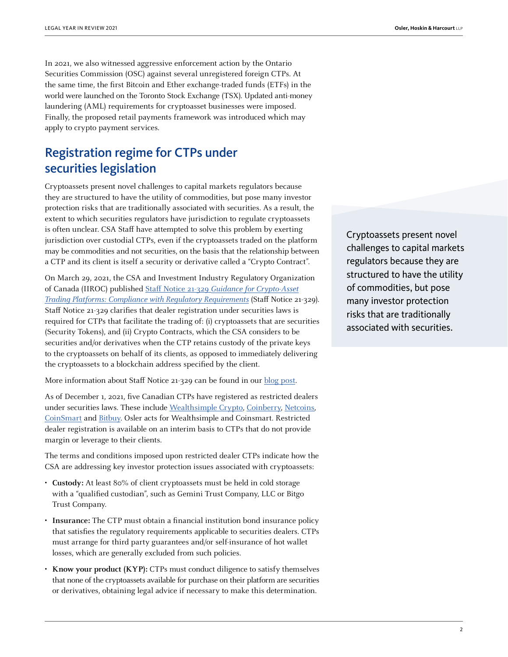In 2021, we also witnessed aggressive enforcement action by the Ontario Securities Commission (OSC) against several unregistered foreign CTPs. At the same time, the first Bitcoin and Ether exchange-traded funds (ETFs) in the world were launched on the Toronto Stock Exchange (TSX). Updated anti-money laundering (AML) requirements for cryptoasset businesses were imposed. Finally, the proposed retail payments framework was introduced which may apply to crypto payment services.

## Registration regime for CTPs under securities legislation

Cryptoassets present novel challenges to capital markets regulators because they are structured to have the utility of commodities, but pose many investor protection risks that are traditionally associated with securities. As a result, the extent to which securities regulators have jurisdiction to regulate cryptoassets is often unclear. CSA Staff have attempted to solve this problem by exerting jurisdiction over custodial CTPs, even if the cryptoassets traded on the platform may be commodities and not securities, on the basis that the relationship between a CTP and its client is itself a security or derivative called a "Crypto Contract".

On March 29, 2021, the CSA and Investment Industry Regulatory Organization of Canada (IIROC) published Staff Notice 21-329 [Guidance for Crypto-Asset](https://www.osc.ca/sites/default/files/2021-03/csa_20210329_21-329_compliance-regulatory-requirements.pdf) [Trading Platforms: Compliance with Regulatory Requirements](https://www.osc.ca/sites/default/files/2021-03/csa_20210329_21-329_compliance-regulatory-requirements.pdf) (Staff Notice 21-329). Staff Notice 21-329 clarifies that dealer registration under securities laws is required for CTPs that facilitate the trading of: (i) cryptoassets that are securities (Security Tokens), and (ii) Crypto Contracts, which the CSA considers to be securities and/or derivatives when the CTP retains custody of the private keys to the cryptoassets on behalf of its clients, as opposed to immediately delivering the cryptoassets to a blockchain address specified by the client.

More information about Staff Notice 21-329 can be found in our **blog** post.

As of December 1, 2021, five Canadian CTPs have registered as restricted dealers under securities laws. These include [Wealthsimple Crypto,](https://www.osc.ca/sites/default/files/2021-06/ord_20210622_wealthsimple.pdf) [Coinberry,](https://www.osc.ca/sites/default/files/2021-09/ord_20210819_coinberry-limited.pdf) [Netcoins,](https://www.osc.ca/sites/default/files/2021-09/ord_20210930_netcoins.pdf) [CoinSmart](https://www.osc.ca/sites/default/files/2021-10/oth_20211021_coinsmart.pdf) and [Bitbuy](https://www.osc.ca/sites/default/files/2021-12/oth_20111130_bitbuy.pdf). Osler acts for Wealthsimple and Coinsmart. Restricted dealer registration is available on an interim basis to CTPs that do not provide margin or leverage to their clients.

The terms and conditions imposed upon restricted dealer CTPs indicate how the CSA are addressing key investor protection issues associated with cryptoassets:

- **Custody:** At least 80% of client cryptoassets must be held in cold storage with a "qualified custodian", such as Gemini Trust Company, LLC or Bitgo Trust Company.
- **Insurance:** The CTP must obtain a financial institution bond insurance policy that satisfies the regulatory requirements applicable to securities dealers. CTPs must arrange for third party guarantees and/or self-insurance of hot wallet losses, which are generally excluded from such policies.
- **Know your product (KYP):** CTPs must conduct diligence to satisfy themselves that none of the cryptoassets available for purchase on their platform are securities or derivatives, obtaining legal advice if necessary to make this determination.

Cryptoassets present novel challenges to capital markets regulators because they are structured to have the utility of commodities, but pose many investor protection risks that are traditionally associated with securities.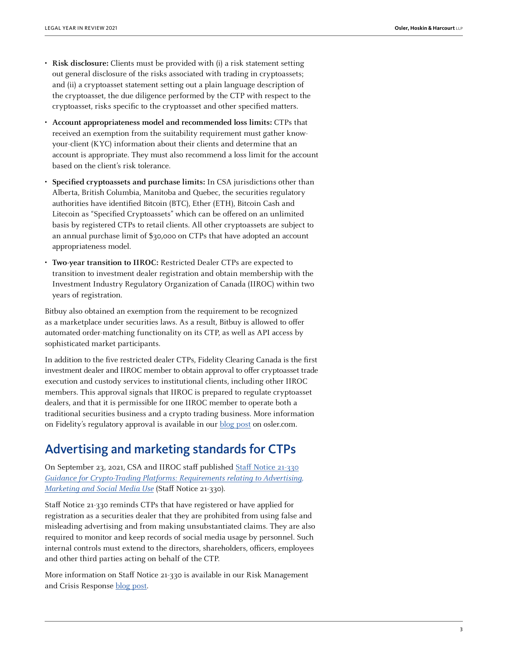- **Risk disclosure:** Clients must be provided with (i) a risk statement setting out general disclosure of the risks associated with trading in cryptoassets; and (ii) a cryptoasset statement setting out a plain language description of the cryptoasset, the due diligence performed by the CTP with respect to the cryptoasset, risks specific to the cryptoasset and other specified matters.
- **Account appropriateness model and recommended loss limits:** CTPs that received an exemption from the suitability requirement must gather knowyour-client (KYC) information about their clients and determine that an account is appropriate. They must also recommend a loss limit for the account based on the client's risk tolerance.
- **Specified cryptoassets and purchase limits:** In CSA jurisdictions other than Alberta, British Columbia, Manitoba and Quebec, the securities regulatory authorities have identified Bitcoin (BTC), Ether (ETH), Bitcoin Cash and Litecoin as "Specified Cryptoassets" which can be offered on an unlimited basis by registered CTPs to retail clients. All other cryptoassets are subject to an annual purchase limit of \$30,000 on CTPs that have adopted an account appropriateness model.
- **Two-year transition to IIROC:** Restricted Dealer CTPs are expected to transition to investment dealer registration and obtain membership with the Investment Industry Regulatory Organization of Canada (IIROC) within two years of registration.

Bitbuy also obtained an exemption from the requirement to be recognized as a marketplace under securities laws. As a result, Bitbuy is allowed to offer automated order-matching functionality on its CTP, as well as API access by sophisticated market participants.

In addition to the five restricted dealer CTPs, Fidelity Clearing Canada is the first investment dealer and IIROC member to obtain approval to offer cryptoasset trade execution and custody services to institutional clients, including other IIROC members. This approval signals that IIROC is prepared to regulate cryptoasset dealers, and that it is permissible for one IIROC member to operate both a traditional securities business and a crypto trading business. More information on Fidelity's regulatory approval is available in our [blog post](https://www.osler.com/en/blogs/risk/november-2021/fidelity-approved-as-first-iiroc-member-to-offer-crypto-trading-and-custody-to-institutional-clients) on osler.com.

### Advertising and marketing standards for CTPs

On September 23, 2021, CSA and IIROC staff published [Staff Notice 21-330](https://www.osc.ca/sites/default/files/2021-09/csa_20210923_21-330_crypto-trading-platforms.pdf) [Guidance for Crypto-Trading Platforms: Requirements relating to Advertising,](https://www.osc.ca/sites/default/files/2021-09/csa_20210923_21-330_crypto-trading-platforms.pdf)  [Marketing and Social Media Use](https://www.osc.ca/sites/default/files/2021-09/csa_20210923_21-330_crypto-trading-platforms.pdf) (Staff Notice 21-330).

Staff Notice 21-330 reminds CTPs that have registered or have applied for registration as a securities dealer that they are prohibited from using false and misleading advertising and from making unsubstantiated claims. They are also required to monitor and keep records of social media usage by personnel. Such internal controls must extend to the directors, shareholders, officers, employees and other third parties acting on behalf of the CTP.

More information on Staff Notice 21-330 is available in our Risk Management and Crisis Response [blog post](https://www.osler.com/en/blogs/risk/september-2021/csa-iiroc-issue-marketing-and-social-media-guidance-for-crypto-trading-platforms).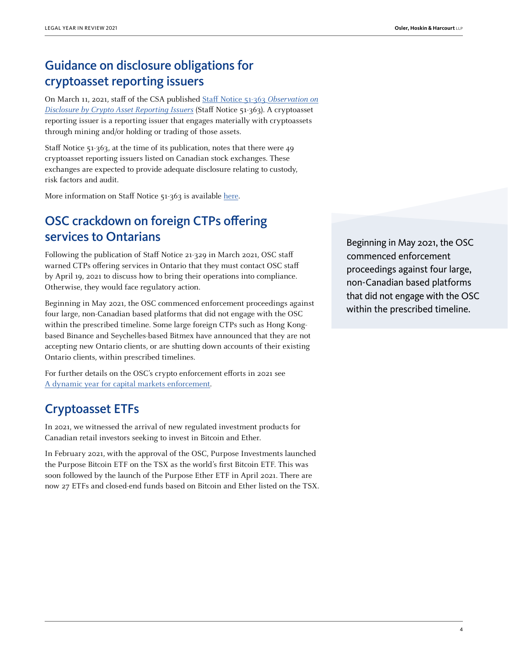# Guidance on disclosure obligations for cryptoasset reporting issuers

On March 11, 2021, staff of the CSA published [Staff Notice 51-363](https://www.osc.ca/sites/default/files/2021-03/csa_20210311_51-363_observations-disclosure-crypto-asset.pdf) Observation on [Disclosure by Crypto Asset Reporting Issuers](https://www.osc.ca/sites/default/files/2021-03/csa_20210311_51-363_observations-disclosure-crypto-asset.pdf) (Staff Notice 51-363). A cryptoasset reporting issuer is a reporting issuer that engages materially with cryptoassets through mining and/or holding or trading of those assets.

Staff Notice 51-363, at the time of its publication, notes that there were 49 cryptoasset reporting issuers listed on Canadian stock exchanges. These exchanges are expected to provide adequate disclosure relating to custody, risk factors and audit.

More information on Staff Notice 51-363 is available [here](https://www.osler.com/en/resources/regulations/2021/csa-releases-disclosure-guidance-for-crypto-assets-reporting-issuers).

# OSC crackdown on foreign CTPs offering services to Ontarians

Following the publication of Staff Notice 21-329 in March 2021, OSC staff warned CTPs offering services in Ontario that they must contact OSC staff by April 19, 2021 to discuss how to bring their operations into compliance. Otherwise, they would face regulatory action.

Beginning in May 2021, the OSC commenced enforcement proceedings against four large, non-Canadian based platforms that did not engage with the OSC within the prescribed timeline. Some large foreign CTPs such as Hong Kongbased Binance and Seychelles-based Bitmex have announced that they are not accepting new Ontario clients, or are shutting down accounts of their existing Ontario clients, within prescribed timelines.

For further details on the OSC's crypto enforcement efforts in 2021 see [A dynamic year for capital markets enforcement](https://legalyearinreview.ca/a-dynamic-year-for-capital-markets-enforcement/).

# Cryptoasset ETFs

In 2021, we witnessed the arrival of new regulated investment products for Canadian retail investors seeking to invest in Bitcoin and Ether.

In February 2021, with the approval of the OSC, Purpose Investments launched the Purpose Bitcoin ETF on the TSX as the world's first Bitcoin ETF. This was soon followed by the launch of the Purpose Ether ETF in April 2021. There are now 27 ETFs and closed-end funds based on Bitcoin and Ether listed on the TSX.

Beginning in May 2021, the OSC commenced enforcement proceedings against four large, non-Canadian based platforms that did not engage with the OSC within the prescribed timeline.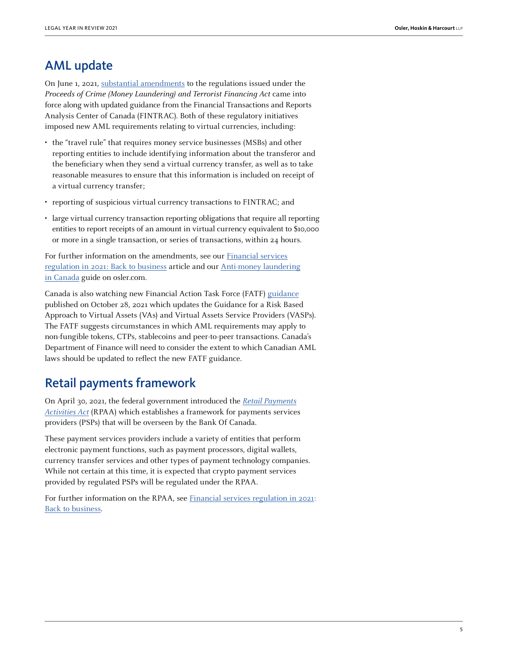#### AML update

On June 1, 2021, [substantial amendments](https://www.fintrac-canafe.gc.ca/covid19/flexible-measures-eng) to the regulations issued under the Proceeds of Crime (Money Laundering) and Terrorist Financing Act came into force along with updated guidance from the Financial Transactions and Reports Analysis Center of Canada (FINTRAC). Both of these regulatory initiatives imposed new AML requirements relating to virtual currencies, including:

- the "travel rule" that requires money service businesses (MSBs) and other reporting entities to include identifying information about the transferor and the beneficiary when they send a virtual currency transfer, as well as to take reasonable measures to ensure that this information is included on receipt of a virtual currency transfer;
- reporting of suspicious virtual currency transactions to FINTRAC; and
- large virtual currency transaction reporting obligations that require all reporting entities to report receipts of an amount in virtual currency equivalent to \$10,000 or more in a single transaction, or series of transactions, within 24 hours.

For further information on the amendments, see our [Financial services](https://legalyearinreview.ca/financial-services-regulation-in-2021-back-to-business/) [regulation in 2021: Back to business](https://legalyearinreview.ca/financial-services-regulation-in-2021-back-to-business/) article and our [Anti-money laundering](https://www.osler.com/en/resources/regulations/2021/anti-money-laundering-in-canada-a-guide-to-the-june-1-2021-changes) [in Canada](https://www.osler.com/en/resources/regulations/2021/anti-money-laundering-in-canada-a-guide-to-the-june-1-2021-changes) guide on osler.com.

Canada is also watching new Financial Action Task Force (FATF) [guidance](https://www.fatf-gafi.org/publications/fatfrecommendations/documents/guidance-rba-virtual-assets-2021.html) published on October 28, 2021 which updates the Guidance for a Risk Based Approach to Virtual Assets (VAs) and Virtual Assets Service Providers (VASPs). The FATF suggests circumstances in which AML requirements may apply to non-fungible tokens, CTPs, stablecoins and peer-to-peer transactions. Canada's Department of Finance will need to consider the extent to which Canadian AML laws should be updated to reflect the new FATF guidance.

#### Retail payments framework

On April 30, 2021, the federal government introduced the [Retail Payments](https://laws-lois.justice.gc.ca/eng/acts/R-7.36/page-1.html) [Activities Act](https://laws-lois.justice.gc.ca/eng/acts/R-7.36/page-1.html) (RPAA) which establishes a framework for payments services providers (PSPs) that will be overseen by the Bank Of Canada.

These payment services providers include a variety of entities that perform electronic payment functions, such as payment processors, digital wallets, currency transfer services and other types of payment technology companies. While not certain at this time, it is expected that crypto payment services provided by regulated PSPs will be regulated under the RPAA.

For further information on the RPAA, see Financial services regulation in 2021: [Back to business.](https://legalyearinreview.ca/financial-services-regulation-in-2021-back-to-business/)